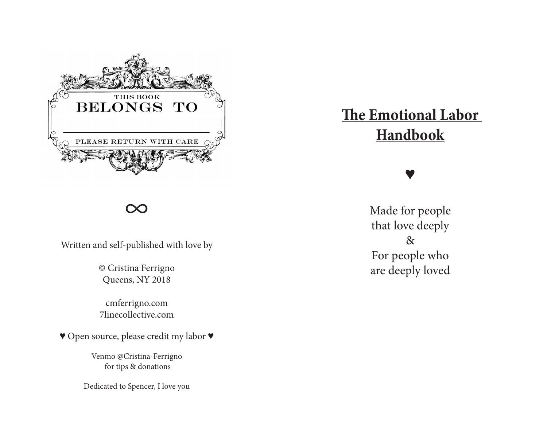

#### ∞

Written and self-published with love by

© Cristina Ferrigno Queens, NY 2018

cmferrigno.com 7linecollective.com

♥ Open source, please credit my labor ♥

Venmo @Cristina-Ferrigno for tips & donations

Dedicated to Spencer, I love you

# **The Emotional Labor Handbook**

## ♥

Made for people that love deeply & For people who are deeply loved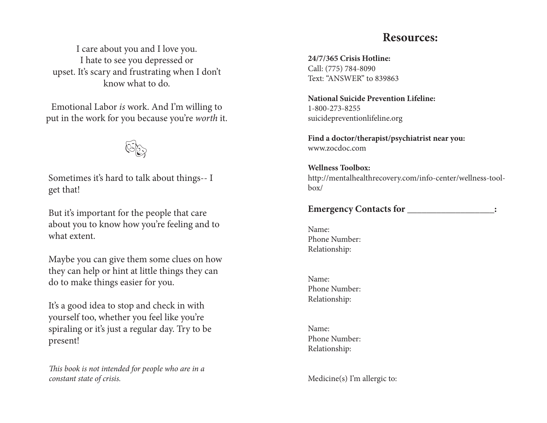#### **Resources:**

I care about you and I love you. I hate to see you depressed or upset. It's scary and frustrating when I don't know what to do.

Emotional Labor *is* work. And I'm willing to put in the work for you because you're *worth* it.

 $\mathbb{C}_{\mathbb{C}}$ 

Sometimes it's hard to talk about things-- I get that!

But it's important for the people that care about you to know how you're feeling and to what extent.

Maybe you can give them some clues on how they can help or hint at little things they can do to make things easier for you.

It's a good idea to stop and check in with yourself too, whether you feel like you're spiraling or it's just a regular day. Try to be present!

T*is book is not intended for people who are in a constant state of crisis.* 

**24/7/365 Crisis Hotline:** Call: (775) 784-8090 Text: "ANSWER" to 839863

**National Suicide Prevention Lifeline:** 1-800-273-8255 suicidepreventionlifeline.org

**Find a doctor/therapist/psychiatrist near you:** www.zocdoc.com

**Wellness Toolbox:**  http://mentalhealthrecovery.com/info-center/wellness-toolbox/

**Emergency Contacts for \_\_\_\_\_\_\_\_\_\_\_\_\_\_\_\_\_\_:**

Name: Phone Number: Relationship:

Name: Phone Number: Relationship:

Name: Phone Number: Relationship:

Medicine(s) I'm allergic to: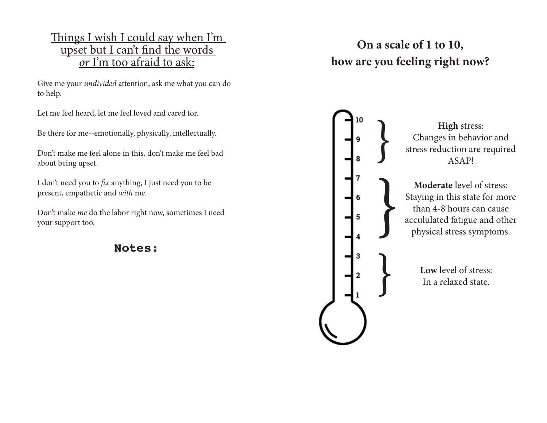#### Things I wish I could say when I'm upset but I can't fnd the words *or* I'm too afraid to ask:

Give me your *undivided* attention, ask me what you can do to help.

Let me feel heard, let me feel loved and cared for.

Be there for me--emotionally, physically, intellectually.

Don't make me feel alone in this, don't make me feel bad about being upset.

I don't need you to f *x* anything, I just need you to be present, empathetic and *with* me.

Don't make *me* do the labor right now, sometimes I need your support too.

**Notes:**

## **On a scale of 1 to 10, how are you feeling right now?**



**High** stress:<br>
Changes in behavi<br>
stress reduction are<br>
ASAP! Changes in behavior and stress reduction are required ASAP!

> **Moderate** level of stress: Staying in this state for more than 4-8 hours can cause accululated fatigue and other physical stress symptoms.

> > **Low** level of stress: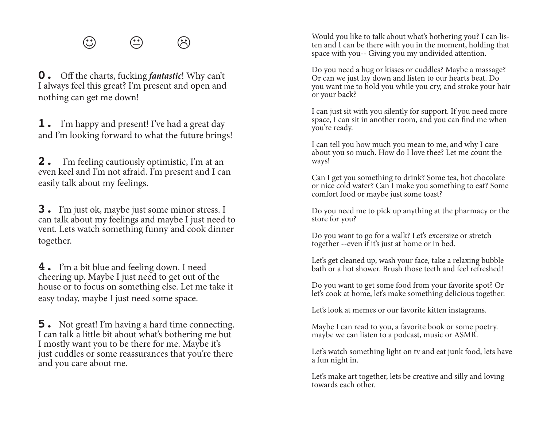**0.** Of the charts, fucking *fantastic*! Why can't I always feel this great? I'm present and open and nothing can get me down!

**1.** I'm happy and present! I've had a great day and I'm looking forward to what the future brings!

**2.** I'm feeling cautiously optimistic, I'm at an even keel and I'm not afraid. I'm present and I can easily talk about my feelings.

**3.** I'm just ok, maybe just some minor stress. I can talk about my feelings and maybe I just need to vent. Lets watch something funny and cook dinner together.

**4.** I'm a bit blue and feeling down. I need cheering up. Maybe I just need to get out of the house or to focus on something else. Let me take it easy today, maybe I just need some space.

**5.** Not great! I'm having a hard time connecting. I can talk a little bit about what's bothering me but I mostly want you to be there for me. Maybe it's just cuddles or some reassurances that you're there and you care about me.

 $\bigodot$   $\bigodot$   $\bigodot$   $\bigodot$   $\bigodot$   $\bigodot$  Would you like to talk about what's bothering you? I can lis-<br>ten and I can be there with you in the moment, holding that space with you-- Giving you my undivided attention.

> Do you need a hug or kisses or cuddles? Maybe a massage? Or can we just lay down and listen to our hearts beat. Do you want me to hold you while you cry, and stroke your hair or your back?

I can just sit with you silently for support. If you need more space, I can sit in another room, and you can fnd me when you're ready.

I can tell you how much you mean to me, and why I care about you so much. How do I love thee? Let me count the ways!

Can I get you something to drink? Some tea, hot chocolate or nice cold water? Can I make you something to eat? Some comfort food or maybe just some toast?

Do you need me to pick up anything at the pharmacy or the store for you?

Do you want to go for a walk? Let's excersize or stretch together --even if it's just at home or in bed.

Let's get cleaned up, wash your face, take a relaxing bubble bath or a hot shower. Brush those teeth and feel refreshed!

Do you want to get some food from your favorite spot? Or let's cook at home, let's make something delicious together.

Let's look at memes or our favorite kitten instagrams.

Maybe I can read to you, a favorite book or some poetry. maybe we can listen to a podcast, music or ASMR.

Let's watch something light on tv and eat junk food, lets have a fun night in.

Let's make art together, lets be creative and silly and loving towards each other.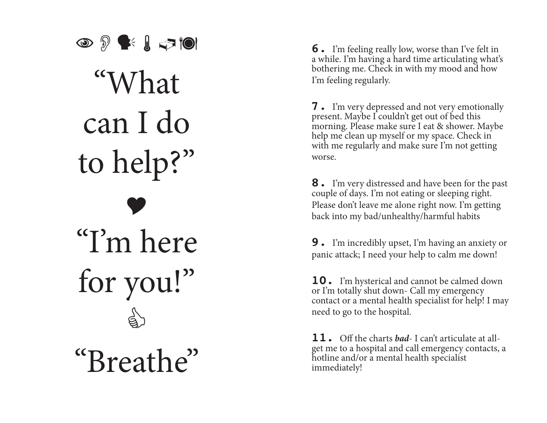$\circledcirc$   $\circledcirc$   $\circledcirc$   $\circledcirc$ "What can I do to help?" "I'm here" for you!" "Breathe"

**6.** I'm feeling really low, worse than I've felt in a while. I'm having a hard time articulating what's bothering me. Check in with my mood and how I'm feeling regularly.

**7.** I'm very depressed and not very emotionally present. Maybe I couldn't get out of bed this morning. Please make sure I eat & shower. Maybe help me clean up myself or my space. Check in with me regularly and make sure I'm not getting worse.

**8.** I'm very distressed and have been for the past couple of days. I'm not eating or sleeping right. Please don't leave me alone right now. I'm getting back into my bad/unhealthy/harmful habits

**9.** I'm incredibly upset, I'm having an anxiety or panic attack; I need your help to calm me down!

**10.** I'm hysterical and cannot be calmed down or I'm totally shut down- Call my emergency contact or a mental health specialist for help! I may need to go to the hospital.

 $11.$  Off the charts *had*-I can't articulate at allget me to a hospital and call emergency contacts, a hotline and/or a mental health specialist immediately!